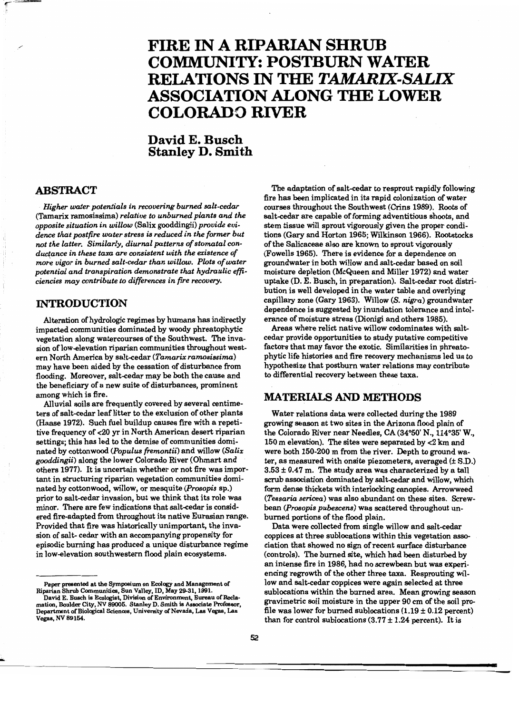# **FIRE IN A RIPARIAN SHRUB COMMUNITY: POSTBURN WATER RELATIONS IN THE** *TAMARIX-SALIX*  **ASSOCIATION ALONG THE LOWER COLORADO RIVER**

## **David E. Busch Stanley D. Smith**

### **ABSTRACT**

*Higher water potentials in recovering burned salt-cedar*  (Tamarix ramosissima) *relative to unburned plants and the opposite situation in willow* (Salix gooddingii) *provide evidence that postfire water stress is reduced in the former but*  not the latter. Similarly, diurnal patterns of stomatal con*duc(ance in these taxa are consistent with the existence of more vigor in burned salt-cedar than willow. Plots of water potential and transpiration demonstrate that hydraulic* effi*ciencies may contribute to differences in fire recovery.* 

#### **INTRODUCTION**

Alteration of hydrologic regimes by humans has indirectly impacted communities dominated by woody phreatophytic vegetation along watercourses of the Southwest. The invasion of low-elevation riparian communities throughout western North America by salt-cedar (Tamarix ramosissima) may have been aided by the cessation of disturbance from flooding. Moreover, salt-cedar may be both the cause and the beneficiary of a new suite of disturbances, prominent among which is fire.

Alluvial soils are frequently covered by several centimeters of salt-cedar leaf litter to the exclusion of other plants (Haase 1972). Such fuel buildup causes fire with a repetitive frequency of <20 yr in North American desert riparian settings; this has led to the demise of communities dominated by cottonwood *(Populus fremontii)* and willow *(Salix gooddingii)* along the lower Colorado River (Ohmatt and others 1977). It is uncertain whether or not fire was important in structuring riparian vegetation communities dominated by cottonwood, willow, or mesquite *(Prosopis* sp.) prior to salt-cedar invasion, but we think that its role was minor. There are few indications that salt-cedar is considered fire-adapted from throughout its native Eurasian range. Provided that fire was historically unimportant, the invasion of salt- cedar with an accompanying propensity for episodic burning has produced a unique disturbance regime in low-elevation southwestern flood plain ecosystems.

The adaptation of salt-cedar to resprout rapidly following fire has been implicated in its rapid colonization of water courses throughout the Southwest (Crins 1989). Roots of salt-cedar are capable of forming adventitious shoots, and stem tissue will sprout vigorously given the proper conditions (Gary and Horton 1965; Wilkinson 1966). Rootstocks of the Salicaceae also are known to sprout vigorously (Fowells 1965). There is evidence for a dependence on groundwater in both willow and salt-cedar based on soil moisture depletion (McQueen and Miller 1972) and water uptake (D. E. Busch, in preparation). Salt-cedar root distribution is well developed in the water table and overlying capillary zone (Gary 1963). Willow *(S. nigra)* groundwater dependence is suggested by inundation tolerance and intolerance of moisture stress (Dionigi and others 1985).

Areas where relict native willow codominates with saltcedar provide opportunities to study putative competitive factors that may favor the exotic. Similarities in phreatophytic life histories and fire recovery mechanisms led us to hypothesize that postburn water relations may contribute to differential recovery between these taxa.

#### **MATERIALS AND METHODS**

Water relations data were collected during the 1989 growing season at two sites in the Arizona flood plain of the Colorado River near Needles, CA (34°50' N., 114°35' W., 150 m elevation). The sites were separated by <2 km and were both 150-200 m from the river. Depth to ground water, as measured with onsite piezometers, averaged (± S.D.)  $3.53 \pm 0.47$  m. The study area was characterized by a tall scrub association dominated by salt-cedar and willow, which form dense thickets with interlocking canopies. Arrowweed *(Tessario sericea)* was also abundant on these sites. Screwbean *(prosopis pubescens)* was scattered throughout unburned portions of the flood plain.

Data were collected from single willow and salt-cedar coppices at three sublocations within this vegetation association that showed no sign of recent surface disturbance (controls). The burned site, which had been disturbed by an intense fire in 1986, had no screwbean but was experiencing regrowth of the other three taxa. Resprouting willow and salt-cedar coppices were again selected at three sublocations within the burned area. Mean growing season gravimetric soil moisture in the upper 90 cm of the soil profile was lower for burned sublocations  $(1.19 \pm 0.12$  percent) than for control sublocations  $(3.77 \pm 1.24$  percent). It is

**=** 

Paper presented at the Symposium on Ecology and Management of

Riparian Shrub Communities, Sun Valley, ID, May 29-31, 1991.<br>- David E. Busch is Ecologist, Division of Environment, Bureau of Recla<br>mation, Boulder City, NV 89005. Stanley D. Smith is Associate Professor, Department of Biological Sciences, University of Nevada, Las Vegas, Las Vegas, NY 89154.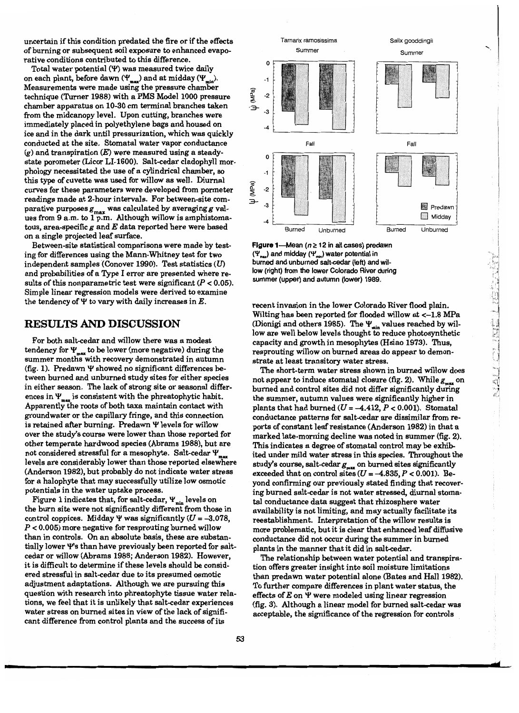uncertain if this condition predated the fire or if the effects of burning or subsequent soil exposure to enhanced evaporative conditions contributed to this difference.

Total water potential  $(Y)$  was measured twice daily on each plant, before dawn  $(\Psi_{max})$  and at midday  $(\Psi_{min})$ . Measurements were made using the pressure chamber technique (Turner 1988) with a PMS Model 1000 pressure chamber apparatus on 10-30 cm terminal branches taken from the midcanopy level. Upon cutting, branches were immediately placed in polyethylene bags and housed on ice and in the dark until pressurization, which was quickly conducted at the site. Stomatal water vapor conductance  $(g)$  and transpiration  $(E)$  were measured using a steadystate porometer (Licor LI-1600). Salt-cedar cladophyll morphology necessitated the use of a cylindrical chamber, so this type of cuvette was used for willow as well. Diurnal curves for these parameters were developed from pormeter readings made at 2-hour intervals. For between-site comparative purposes  $g_{\text{max}}$  was calculated by averaging g values from 9 a.m. to 1 p.m. Although willow is amphistomatous, area-specific *g* and *E* data reported here were based on a single projected leaf surface.

Between-site statistical comparisons were made by testing for differences using the Mann-Whitney test for two independent samples (Conover 1990). Test statistics (U) and probabilities of a Type I error are presented where results of this nonparametric test were significant  $(P < 0.05)$ . Simple linear regression models were derived to examine the tendency of  $\Psi$  to vary with daily increases in  $E$ .

#### **RESULTS AND DISCUSSION**

For both salt-cedar and willow there was a modest tendency for  $\Psi_{\text{max}}$  to be lower (more negative) during the summer months with recovery demonstrated in autumn (fig. 1). Predawn  $\Psi$  showed no significant differences between burned and unburned study sites for either species in either season. The lack of strong site or seasonal differences in  $\Psi_{\text{max}}$  is consistent with the phreatophytic habit. Apparently the roots of both taxa maintain contact with groundwater or the capillary fringe, and this connection is retained after burning. Predawn Y levels for willow over the study's course were lower than those reported for other temperate hardwood species (Abrams 1988), but are not considered stressful for a mesophyte. Salt-cedar  $\Psi$ levels are considerably lower than those reported elsewhere (Anderson 1982), but probably do not indicate water stress for a halophyte that may successfully utilize low osmotic potentials in the water uptake process.

Figure 1 indicates that, for salt-cedar,  $\Psi_{\min}$  levels on the burn site were not significantly different from those in control coppices. Midday  $\Psi$  was significantly ( $U = -3.078$ ,  $P < 0.005$ ) more negative for resprouting burned willow than in controls. On an absolute basis, these are substantially lower Y's than have previously been reported for saltcedar or willow (Abrams 1988; Anderson 1982). However, it is difficult to determine if these levels should be considered stressful in salt-cedar due to its presumed osmotic adjustment adaptations. Although we are pursuing this question with research into phreatophyte tissue water relations, we feel that it is unlikely that salt-cedar experiences water stress on burned sites in view of the lack of significant difference from control plants and the success of its



Figure 1-Mean ( $n \ge 12$  in all cases) predawn  $(\Psi_{\text{max}})$  and midday  $(\Psi_{\text{min}})$  water potential in burned and unburned salt-cedar (left) and willow (right) from the lower Colorado River during summer (upper) and autumn (lower) 1989.

recent invasion in the lower Colorado River flood plain. Wilting has been reported for flooded willow at <-1.8 MPa (Dionigi and others 1985). The  $\Psi_{\min}$  values reached by willow are well below levels thought to reduce photosynthetic capacity and growth in mesophytes (Hsiao 1973). Thus, resprouting willow on burned areas do appear to demonstrate at least transitory water stress.

The short-term water stress shown in burned willow does not appear to induce stomatal closure (fig. 2). While  $g_{\text{max}}$  on burned and control sites did not differ significantly during the summer, autumn values were significantly higher in plants that had burned ( $U = -4.412$ ,  $P < 0.001$ ). Stomatal conductance patterns for salt-cedar are dissimilar from reports of constant leaf resistance (Anderson 1982) in that a marked late-morning decline was noted in summer (fig. 2). This indicates a degree of stomatal control may be exhibited under mild water stress in this species. Throughout the study's course, salt-cedar  $g_{\text{max}}$  on burned sites significantly exceeded that on control sites  $(U = -4.835, P < 0.001)$ . Beyond confirming our previously stated finding that recovering burned salt-cedar is not water stressed, diurnal stomatal conductance data suggest that rhizosphere water availability is not limiting, and may actually facilitate its reestablishment. Interpretation of the willow results is more problematic, but it is clear that enhanced leaf diffusive conductance did not occur during the summer in burned plants in the manner that it did in salt-cedar.

The relationship between water potential and transpiration offers greater insight into soil moisture limitations than predawn water potential alone (Bates and Hall 1982). To further compare differences in plant water status, the effects of E on Y were modeled using linear regression (fig. 3). Although a linear model for burned salt-cedar was acceptable, the significance of the regression for controls

**rid**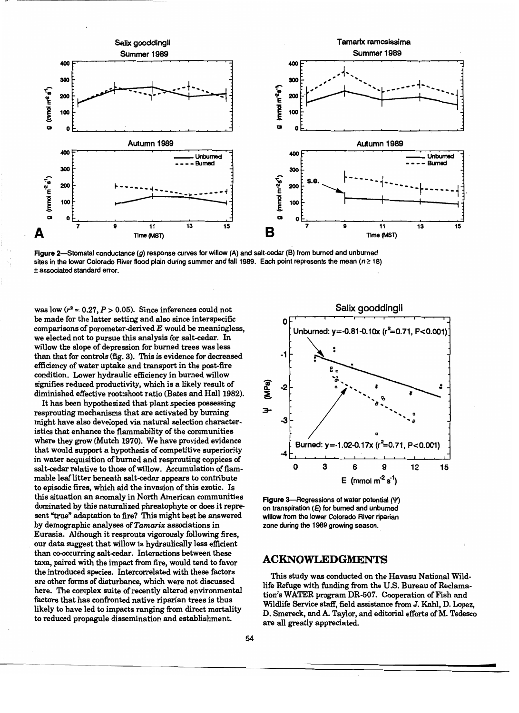

Figure 2-Stomatal conductance  $(g)$  response curves for willow  $(A)$  and salt-cedar  $(B)$  from burned and unburned sites in the lower Colorado River flood plain during summer and fall 1989. Each point represents the mean ( $n \ge 18$ ) ± associated standard error.

was low  $(r^2 = 0.27, P > 0.05)$ . Since inferences could not be made for the latter setting and also since interspecific comparisons of porometer-derived  $E$  would be meaningless, we elected not to pursue this analysis for salt-cedar. In willow the slope of depression for burned trees was less than that for controls (fig. 3). This is evidence for decreased efficiency of water uptake and transport in the post-fire condition. Lower hydraulic efficiency in burned willow signifies reduced productivity, which is a likely result of diminished effective root:shoot ratio (Bates and Hall 1982).

It has been hypothesized that plant species possessing resprouting mechanisms that are activated by burning might have also developed via natural selection characteristics that enhance the flammability of the communities where they grow (Mutch 1970). We have provided evidence that would support a hypothesis of competitive superiority in water acquisition of burned and resprouting coppices of salt-cedar relative to those of willow. Accumulation of flammable leaf litter beneath salt-cedar appears to contribute to episodic fires, which aid the invasion of this exotic. Is this situation an anomaly in North American communities dominated by this naturalized phreatophyte or does it represent "true" adaptation to fire? This might best be answered by demographic analyses of *Tamarix* associations in Eurasia. Although it resprouts vigorously following fires, our data suggest that willow is hydraulically less efficient than co-occurring salt-cedar. Interactions between these taxa, paired with the impact from fire, would tend to favor the introduced species. Intercorrelated with these factors are other forms of disturbance, which were not discussed here. The complex suite of recently altered environmental factors that has confronted native riparian trees is thus likely to have led to impacts ranging from direct mortality to reduced propagule dissemination and establishment.

--.~--



Figure 3-Regressions of water potential (Y) on transpiration (E) for burned and unburned willow from the lower Colorado River riparian zone during the 1989 growing season.

#### **ACKNOWLEDGMENTS**

This study was conducted on the Havasu National Wildlife Refuge with funding from the U.S. Bureau of Reclamation's WATER program DR-507. Cooperation of Fish and Wildlife Service staff, field assistance from J. Kahl, D. Lopez, D. Smereck, and A. Taylor, and editorial efforts of M. Tedesco are all greatly appreciated.

**•**